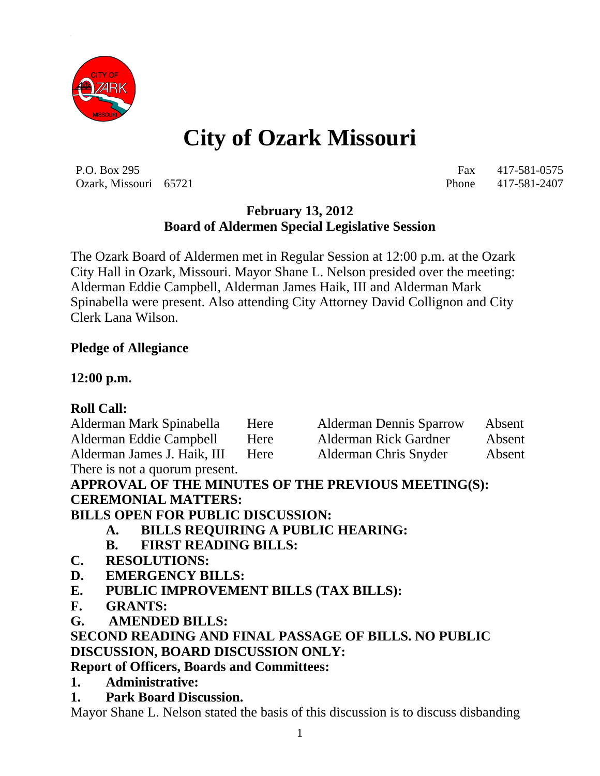

# **City of Ozark Missouri**

P.O. Box 295 Fax 417-581-0575 Ozark, Missouri 65721 Phone 417-581-2407

# **February 13, 2012 Board of Aldermen Special Legislative Session**

The Ozark Board of Aldermen met in Regular Session at 12:00 p.m. at the Ozark City Hall in Ozark, Missouri. Mayor Shane L. Nelson presided over the meeting: Alderman Eddie Campbell, Alderman James Haik, III and Alderman Mark Spinabella were present. Also attending City Attorney David Collignon and City Clerk Lana Wilson.

#### **Pledge of Allegiance**

#### **12:00 p.m.**

#### **Roll Call:**

| Alderman Mark Spinabella       | Here | <b>Alderman Dennis Sparrow</b> | Absent |
|--------------------------------|------|--------------------------------|--------|
| Alderman Eddie Campbell        | Here | Alderman Rick Gardner          | Absent |
| Alderman James J. Haik, III    | Here | Alderman Chris Snyder          | Absent |
| There is not a quorum present. |      |                                |        |

**APPROVAL OF THE MINUTES OF THE PREVIOUS MEETING(S): CEREMONIAL MATTERS:**

**BILLS OPEN FOR PUBLIC DISCUSSION:**

- **A. BILLS REQUIRING A PUBLIC HEARING:**
- **B. FIRST READING BILLS:**
- **C. RESOLUTIONS:**
- **D. EMERGENCY BILLS:**
- **E. PUBLIC IMPROVEMENT BILLS (TAX BILLS):**
- **F. GRANTS:**
- **G. AMENDED BILLS:**

#### **SECOND READING AND FINAL PASSAGE OF BILLS. NO PUBLIC DISCUSSION, BOARD DISCUSSION ONLY:**

#### **Report of Officers, Boards and Committees:**

- **1. Administrative:**
- **1. Park Board Discussion.**

Mayor Shane L. Nelson stated the basis of this discussion is to discuss disbanding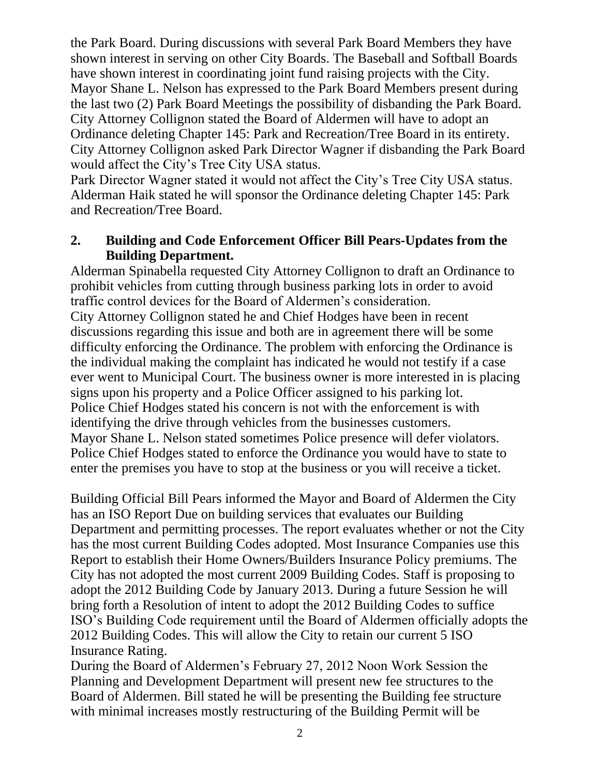the Park Board. During discussions with several Park Board Members they have shown interest in serving on other City Boards. The Baseball and Softball Boards have shown interest in coordinating joint fund raising projects with the City. Mayor Shane L. Nelson has expressed to the Park Board Members present during the last two (2) Park Board Meetings the possibility of disbanding the Park Board. City Attorney Collignon stated the Board of Aldermen will have to adopt an Ordinance deleting Chapter 145: Park and Recreation/Tree Board in its entirety. City Attorney Collignon asked Park Director Wagner if disbanding the Park Board would affect the City's Tree City USA status.

Park Director Wagner stated it would not affect the City's Tree City USA status. Alderman Haik stated he will sponsor the Ordinance deleting Chapter 145: Park and Recreation/Tree Board.

#### **2. Building and Code Enforcement Officer Bill Pears-Updates from the Building Department.**

Alderman Spinabella requested City Attorney Collignon to draft an Ordinance to prohibit vehicles from cutting through business parking lots in order to avoid traffic control devices for the Board of Aldermen's consideration. City Attorney Collignon stated he and Chief Hodges have been in recent discussions regarding this issue and both are in agreement there will be some difficulty enforcing the Ordinance. The problem with enforcing the Ordinance is the individual making the complaint has indicated he would not testify if a case ever went to Municipal Court. The business owner is more interested in is placing signs upon his property and a Police Officer assigned to his parking lot. Police Chief Hodges stated his concern is not with the enforcement is with identifying the drive through vehicles from the businesses customers. Mayor Shane L. Nelson stated sometimes Police presence will defer violators. Police Chief Hodges stated to enforce the Ordinance you would have to state to enter the premises you have to stop at the business or you will receive a ticket.

Building Official Bill Pears informed the Mayor and Board of Aldermen the City has an ISO Report Due on building services that evaluates our Building Department and permitting processes. The report evaluates whether or not the City has the most current Building Codes adopted. Most Insurance Companies use this Report to establish their Home Owners/Builders Insurance Policy premiums. The City has not adopted the most current 2009 Building Codes. Staff is proposing to adopt the 2012 Building Code by January 2013. During a future Session he will bring forth a Resolution of intent to adopt the 2012 Building Codes to suffice ISO's Building Code requirement until the Board of Aldermen officially adopts the 2012 Building Codes. This will allow the City to retain our current 5 ISO Insurance Rating.

During the Board of Aldermen's February 27, 2012 Noon Work Session the Planning and Development Department will present new fee structures to the Board of Aldermen. Bill stated he will be presenting the Building fee structure with minimal increases mostly restructuring of the Building Permit will be